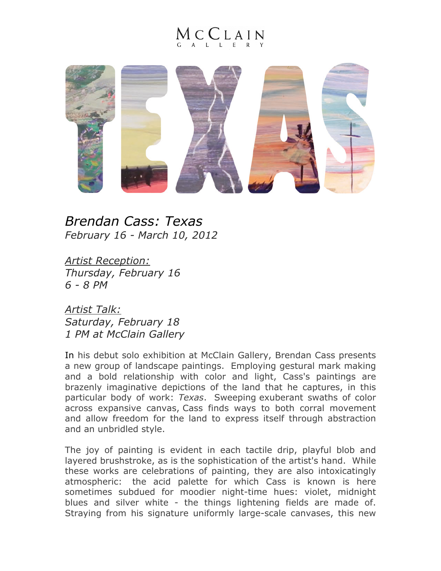## $1$  C  $C$  L A I N



*Brendan Cass: Texas February 16 - March 10, 2012*

*Artist Reception: Thursday, February 16 6 - 8 PM*

*Artist Talk: Saturday, February 18 1 PM at McClain Gallery*

In his debut solo exhibition at McClain Gallery, Brendan Cass presents a new group of landscape paintings. Employing gestural mark making and a bold relationship with color and light, Cass's paintings are brazenly imaginative depictions of the land that he captures, in this particular body of work: *Texas*. Sweeping exuberant swaths of color across expansive canvas, Cass finds ways to both corral movement and allow freedom for the land to express itself through abstraction and an unbridled style.

The joy of painting is evident in each tactile drip, playful blob and layered brushstroke, as is the sophistication of the artist's hand. While these works are celebrations of painting, they are also intoxicatingly atmospheric: the acid palette for which Cass is known is here sometimes subdued for moodier night-time hues: violet, midnight blues and silver white - the things lightening fields are made of. Straying from his signature uniformly large-scale canvases, this new